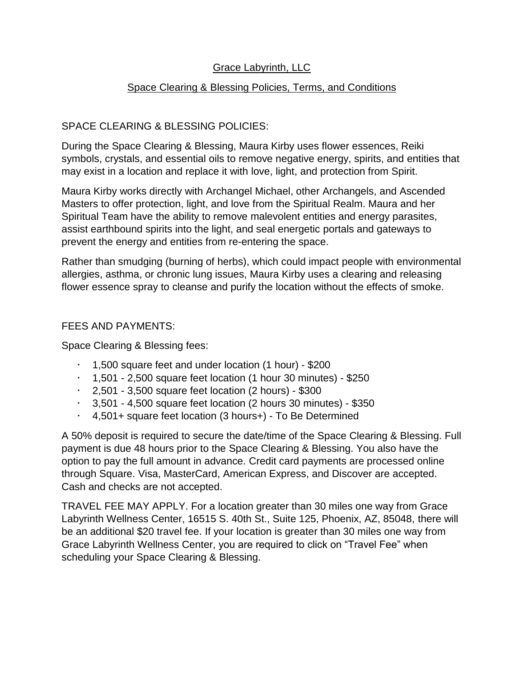# Grace Labyrinth, LLC

# Space Clearing & Blessing Policies, Terms, and Conditions

# SPACE CLEARING & BLESSING POLICIES:

During the Space Clearing & Blessing, Maura Kirby uses flower essences, Reiki symbols, crystals, and essential oils to remove negative energy, spirits, and entities that may exist in a location and replace it with love, light, and protection from Spirit.

Maura Kirby works directly with Archangel Michael, other Archangels, and Ascended Masters to offer protection, light, and love from the Spiritual Realm. Maura and her Spiritual Team have the ability to remove malevolent entities and energy parasites, assist earthbound spirits into the light, and seal energetic portals and gateways to prevent the energy and entities from re-entering the space.

Rather than smudging (burning of herbs), which could impact people with environmental allergies, asthma, or chronic lung issues, Maura Kirby uses a clearing and releasing flower essence spray to cleanse and purify the location without the effects of smoke.

## FEES AND PAYMENTS:

Space Clearing & Blessing fees:

- $\cdot$  1,500 square feet and under location (1 hour) \$200
- $\cdot$  1,501 2,500 square feet location (1 hour 30 minutes) \$250
- $\cdot$  2,501 3,500 square feet location (2 hours) \$300
- $\cdot$  3,501 4,500 square feet location (2 hours 30 minutes) \$350
- $\cdot$  4,501+ square feet location (3 hours+) To Be Determined

A 50% deposit is required to secure the date/time of the Space Clearing & Blessing. Full payment is due 48 hours prior to the Space Clearing & Blessing. You also have the option to pay the full amount in advance. Credit card payments are processed online through Square. Visa, MasterCard, American Express, and Discover are accepted. Cash and checks are not accepted.

TRAVEL FEE MAY APPLY. For a location greater than 30 miles one way from Grace Labyrinth Wellness Center, 16515 S. 40th St., Suite 125, Phoenix, AZ, 85048, there will be an additional \$20 travel fee. If your location is greater than 30 miles one way from Grace Labyrinth Wellness Center, you are required to click on "Travel Fee" when scheduling your Space Clearing & Blessing.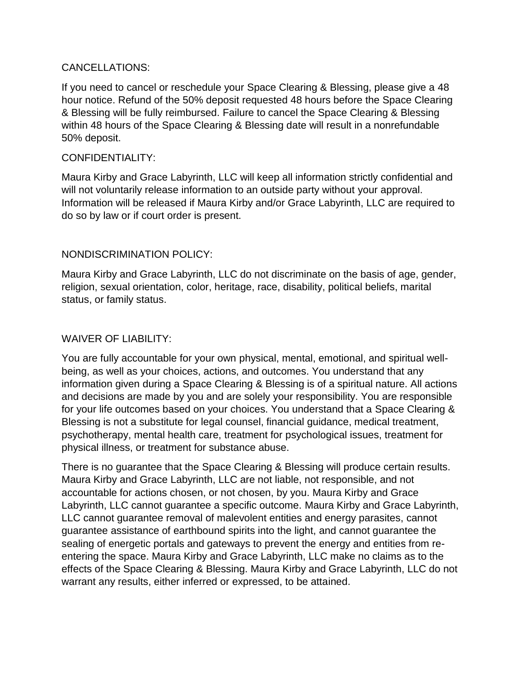#### CANCELLATIONS:

If you need to cancel or reschedule your Space Clearing & Blessing, please give a 48 hour notice. Refund of the 50% deposit requested 48 hours before the Space Clearing & Blessing will be fully reimbursed. Failure to cancel the Space Clearing & Blessing within 48 hours of the Space Clearing & Blessing date will result in a nonrefundable 50% deposit.

#### CONFIDENTIALITY:

Maura Kirby and Grace Labyrinth, LLC will keep all information strictly confidential and will not voluntarily release information to an outside party without your approval. Information will be released if Maura Kirby and/or Grace Labyrinth, LLC are required to do so by law or if court order is present.

## NONDISCRIMINATION POLICY:

Maura Kirby and Grace Labyrinth, LLC do not discriminate on the basis of age, gender, religion, sexual orientation, color, heritage, race, disability, political beliefs, marital status, or family status.

#### WAIVER OF LIABILITY:

You are fully accountable for your own physical, mental, emotional, and spiritual wellbeing, as well as your choices, actions, and outcomes. You understand that any information given during a Space Clearing & Blessing is of a spiritual nature. All actions and decisions are made by you and are solely your responsibility. You are responsible for your life outcomes based on your choices. You understand that a Space Clearing & Blessing is not a substitute for legal counsel, financial guidance, medical treatment, psychotherapy, mental health care, treatment for psychological issues, treatment for physical illness, or treatment for substance abuse.

There is no guarantee that the Space Clearing & Blessing will produce certain results. Maura Kirby and Grace Labyrinth, LLC are not liable, not responsible, and not accountable for actions chosen, or not chosen, by you. Maura Kirby and Grace Labyrinth, LLC cannot guarantee a specific outcome. Maura Kirby and Grace Labyrinth, LLC cannot guarantee removal of malevolent entities and energy parasites, cannot guarantee assistance of earthbound spirits into the light, and cannot guarantee the sealing of energetic portals and gateways to prevent the energy and entities from reentering the space. Maura Kirby and Grace Labyrinth, LLC make no claims as to the effects of the Space Clearing & Blessing. Maura Kirby and Grace Labyrinth, LLC do not warrant any results, either inferred or expressed, to be attained.